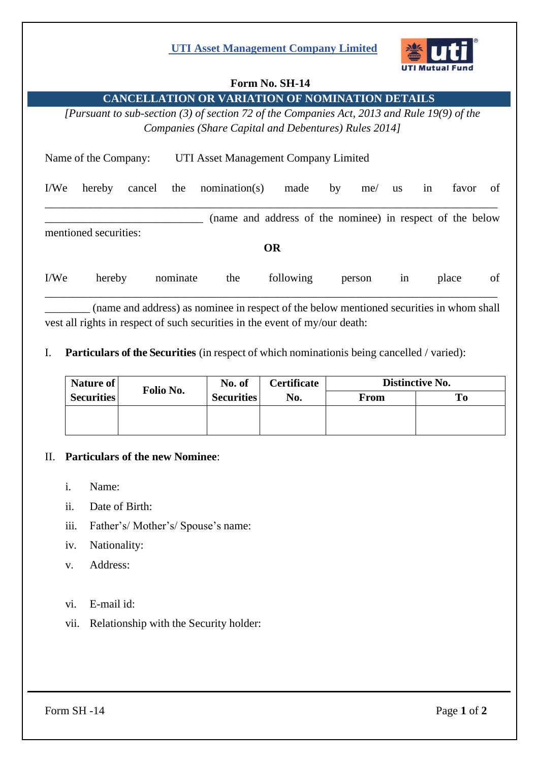## **UTI Asset Management Company Limited**



### **Form No. SH-14**

**CANCELLATION OR VARIATION OF NOMINATION DETAILS**

*[Pursuant to sub-section (3) of section 72 of the Companies Act, 2013 and Rule 19(9) of the Companies (Share Capital and Debentures) Rules 2014]*

| Name of the Company:                                                               |        |        |          | UTI Asset Management Company Limited |           |    |        |           |    |       |    |  |  |
|------------------------------------------------------------------------------------|--------|--------|----------|--------------------------------------|-----------|----|--------|-----------|----|-------|----|--|--|
| I/We                                                                               | hereby | cancel | the      | nomination(s)                        | made      | by | me/    | <b>us</b> | in | favor | of |  |  |
| (name and address of the nominee) in respect of the below<br>mentioned securities: |        |        |          |                                      |           |    |        |           |    |       |    |  |  |
| <b>OR</b>                                                                          |        |        |          |                                      |           |    |        |           |    |       |    |  |  |
| I/We                                                                               | hereby |        | nominate | the                                  | following |    | person | 1n        |    | place | of |  |  |

\_\_\_\_\_\_\_\_ (name and address) as nominee in respect of the below mentioned securities in whom shall vest all rights in respect of such securities in the event of my/our death:

I. **Particulars of the Securities** (in respect of which nominationis being cancelled / varied):

| Nature of         | Folio No. | No. of            | <b>Certificate</b><br>No. | Distinctive No. |    |  |  |
|-------------------|-----------|-------------------|---------------------------|-----------------|----|--|--|
| <b>Securities</b> |           | <b>Securities</b> |                           | <b>From</b>     | To |  |  |
|                   |           |                   |                           |                 |    |  |  |
|                   |           |                   |                           |                 |    |  |  |

#### II. **Particulars of the new Nominee**:

- i. Name:
- ii. Date of Birth:
- iii. Father's/ Mother's/ Spouse's name:
- iv. Nationality:
- v. Address:
- vi. E-mail id:
- vii. Relationship with the Security holder: